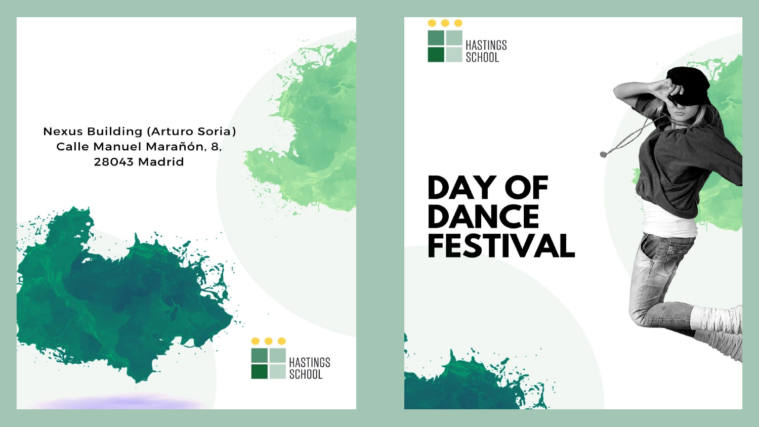

**Nexus Building (Arturo Soria)** Calle Manuel Marañón, 8, 28043 Madrid

# **DAY OF<br>DANCE FESTIVAL**



HASTINGS<br>SCHOOL